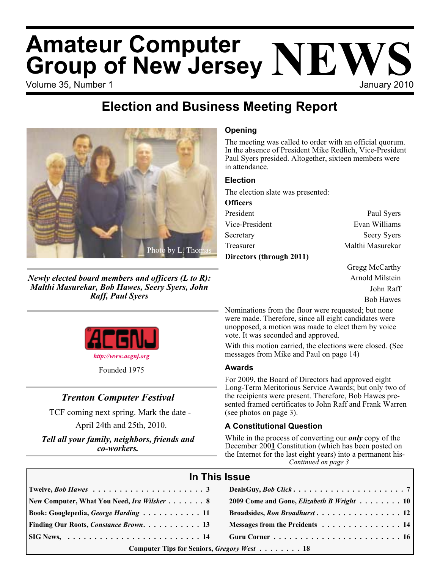# Volume 35, Number 1 January 2010 **Amateur Computer Group of New Jersey NEWS**

## **Election and Business Meeting Report**



*Newly elected board members and officers (L to R): Malthi Masurekar, Bob Hawes, Seery Syers, John Raff, Paul Syers*



Founded 1975

### *Trenton Computer Festival*

TCF coming next spring. Mark the date -

April 24th and 25th, 2010.

*Tell all your family, neighbors, friends and co-workers.*

#### **Opening**

The meeting was called to order with an official quorum. In the absence of President Mike Redlich, Vice-President Paul Syers presided. Altogether, sixteen members were in attendance.

#### **Election**

The election slate was presented:

| <b>Officers</b>          |                    |
|--------------------------|--------------------|
| President                | Paul Syers         |
| Vice-President           | Evan Williams      |
| Secretary                | <b>Seery Syers</b> |
| Treasurer                | Malthi Masurekar   |
| Directors (through 2011) |                    |

Gregg McCarthy Arnold Milstein John Raff Bob Hawes

Nominations from the floor were requested; but none were made. Therefore, since all eight candidates were unopposed, a motion was made to elect them by voice vote. It was seconded and approved.

With this motion carried, the elections were closed. (See messages from Mike and Paul on page 14)

#### **Awards**

For 2009, the Board of Directors had approved eight Long-Term Meritorious Service Awards; but only two of the recipients were present. Therefore, Bob Hawes presented framed certificates to John Raff and Frank Warren (see photos on page 3).

#### **A Constitutional Question**

*Continued on page 3* While in the process of converting our *only* copy of the December 200**1** Constitution (which has been posted on the Internet for the last eight years) into a permanent his-

| In This Issue                                                                                                 |                                           |  |
|---------------------------------------------------------------------------------------------------------------|-------------------------------------------|--|
|                                                                                                               |                                           |  |
| New Computer, What You Need, Ira Wilsker 8                                                                    | 2009 Come and Gone, Elizabeth B Wright 10 |  |
| Book: Googlepedia, George Harding 11                                                                          | Broadsides, Ron Broadhurst 12             |  |
| Finding Our Roots, Constance Brown. 13                                                                        | Messages from the Preidents 14            |  |
| $\begin{bmatrix} \text{SIG News}, & \dots & \dots & \dots & \dots & \dots & \dots & \dots & 14 \end{bmatrix}$ |                                           |  |
| Computer Tips for Seniors, Gregory West 18                                                                    |                                           |  |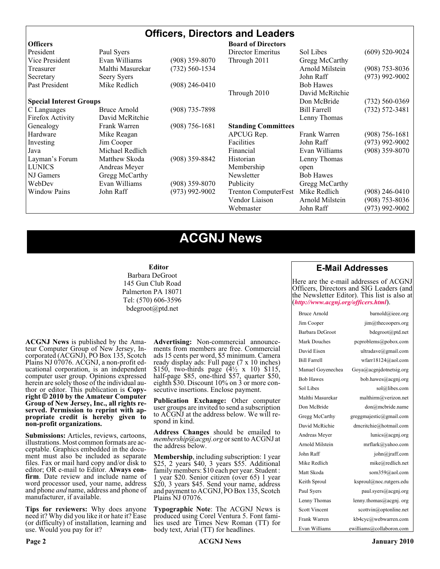#### **Officers, Directors and Leaders**

| <b>Officers</b>                |                  |                    | <b>Board of Directors</b>   |                     |                    |
|--------------------------------|------------------|--------------------|-----------------------------|---------------------|--------------------|
| President                      | Paul Syers       |                    | Director Emeritus           | Sol Libes           | $(609)$ 520-9024   |
| Vice President                 | Evan Williams    | $(908)$ 359-8070   | Through 2011                | Gregg McCarthy      |                    |
| Treasurer                      | Malthi Masurekar | $(732) 560 - 1534$ |                             | Arnold Milstein     | $(908)$ 753-8036   |
| Secretary                      | Seery Syers      |                    |                             | John Raff           | $(973)$ 992-9002   |
| Past President                 | Mike Redlich     | (908) 246-0410     |                             | <b>Bob Hawes</b>    |                    |
|                                |                  |                    | Through 2010                | David McRitchie     |                    |
| <b>Special Interest Groups</b> |                  |                    |                             | Don McBride         | $(732) 560 - 0369$ |
| C Languages                    | Bruce Arnold     | $(908)$ 735-7898   |                             | <b>Bill Farrell</b> | $(732) 572 - 3481$ |
| Firefox Activity               | David McRitchie  |                    |                             | Lenny Thomas        |                    |
| Genealogy                      | Frank Warren     | $(908)$ 756-1681   | <b>Standing Committees</b>  |                     |                    |
| Hardware                       | Mike Reagan      |                    | APCUG Rep.                  | Frank Warren        | $(908) 756 - 1681$ |
| Investing                      | Jim Cooper       |                    | <b>Facilities</b>           | John Raff           | $(973)$ 992-9002   |
| Java                           | Michael Redlich  |                    | Financial                   | Evan Williams       | $(908)$ 359-8070   |
| Layman's Forum                 | Matthew Skoda    | $(908)$ 359-8842   | Historian                   | Lenny Thomas        |                    |
| <b>LUNICS</b>                  | Andreas Meyer    |                    | Membership                  | open                |                    |
| NJ Gamers                      | Gregg McCarthy   |                    | Newsletter                  | <b>Bob Hawes</b>    |                    |
| WebDev                         | Evan Williams    | $(908)$ 359-8070   | Publicity                   | Gregg McCarthy      |                    |
| <b>Window Pains</b>            | John Raff        | $(973)$ 992-9002   | <b>Trenton ComputerFest</b> | Mike Redlich        | $(908)$ 246-0410   |
|                                |                  |                    | Vendor Liaison              | Arnold Milstein     | $(908)$ 753-8036   |
|                                |                  |                    | Webmaster                   | John Raff           | (973) 992-9002     |

### **ACGNJ News**

#### **Editor**

Barbara DeGroot 145 Gun Club Road Palmerton PA 18071 Tel: (570) 606-3596 bdegroot@ptd.net

**ACGNJ News** is published by the Ama- teur Computer Group of New Jersey, In- corporated (ACGNJ), PO Box 135, Scotch Plains NJ 07076. ACGNJ, a non-profit ed- ucational corporation, is an independent computer user group. Opinions expressed herein are solely those of the individual author or editor. This publication is **Copy-**<br>**right**  $\bigcirc$  2010 by the Amateur Computer<br>**Group of New Jersey, Inc., all rights re-Group of New Jersey, Inc., all rights re- served. Permission to reprint with ap- propriate credit is hereby given to non-profit organizations.**

**Submissions:** Articles, reviews, cartoons, illustrations. Most common formats are ac- ceptable. Graphics embedded in the docu- ment must also be included as separate files. Fax or mail hard copy and/or disk to editor; OR e-mail to Editor. Always confirm. Date review and include name of word processor used, your name, address and phone *and* name, address and phone of manufacturer, if available.

**Tips for reviewers:** Why does anyone need it? Why did you like it or hate it? Ease (or difficulty) of installation, learning and use. Would you pay for it?

**Advertising:** Non-commercial announce- ments from members are free. Commercial ads 15 cents per word, \$5 minimum. Camera ready display ads: Full page (7 x 10 inches) \$150, two-thirds page  $(4\frac{1}{2} \times 10)$  \$115, half-page \$85, one-third \$57, quarter \$50, eighth \$30. Discount 10% on 3 or more con- secutive insertions. Enclose payment.

**Publication Exchange:** Other computer user groups are invited to send a subscription to ACGNJ at the address below. We will re- spond in kind.

**Address Changes** should be emailed to *membership@acgnj.org* or sent to ACGNJ at the address below.

**Membership**, including subscription: 1 year \$25, 2 years \$40, 3 years \$55. Additional family members: \$10 each per year. Student : 1 year \$20. Senior citizen (over 65) 1 year \$20, 3 years \$45. Send your name, address and payment to ACGNJ, PO Box 135, Scotch Plains NJ 07076.

**Typographic Note**: The ACGNJ News is produced using Corel Ventura 5. Font fami- lies used are Times New Roman (TT) for body text, Arial (TT) for headlines.

#### **E-Mail Addresses**

Here are the e-mail addresses of ACGNJ Officers, Directors and SIG Leaders (and the Newsletter Editor). This list is also at (*<http://www.acgnj.org/officers.html>*).

| Bruce Arnold         | barnold@ieee.org         |
|----------------------|--------------------------|
| Jim Cooper           | jim@thecoopers.org       |
| Barbara DeGroot      | bdegroot@ptd.net         |
| Mark Douches         | pcproblems@pobox.com     |
| David Eisen          | ultradave@gmail.com      |
| <b>Bill Farrell</b>  | wfarr18124@aol.com       |
| Manuel Goyenechea    | Goya@acgnidotnetsig.org  |
| <b>Bob Hawes</b>     | bob.hawes@acgnj.org      |
| Sol Libes            | sol@libes.com            |
| Malthi Masurekar     | malthirm@verizon.net     |
| Don McBride          | don@mcbride.name         |
| Gregg McCarthy       | greggmajestic@gmail.com  |
| David McRichie       | dmcritchie@hotmail.com   |
| Andreas Meyer        | lunics@acgnj.org         |
| Arnold Milstein      | mrflark@yahoo.com        |
| John Raff            | john@jraff.com           |
| Mike Redlich         | mike@redlich.net         |
| Matt Skoda           | som359@aol.com           |
| Keith Sproul         | ksproul@noc.rutgers.edu  |
| Paul Syers           | paul.syers@acgnj.org     |
| Lenny Thomas         | lenny.thomas@acgnj.org   |
| <b>Scott Vincent</b> | scottvin@optonline.net   |
| Frank Warren         | kb4cyc@webwarren.com     |
| Evan Williams        | ewilliams@collaboron.com |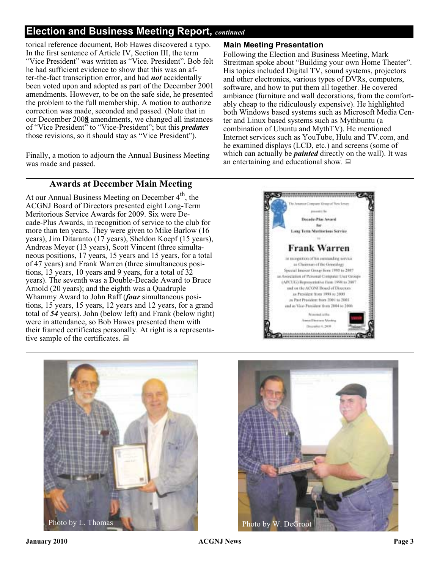#### **Election and Business Meeting Report,** *continued*

torical reference document, Bob Hawes discovered a typo. In the first sentence of Article IV, Section III, the term "Vice President" was written as "Vice. President". Bob felt he had sufficient evidence to show that this was an after-the-fact transcription error, and had *not* accidentally been voted upon and adopted as part of the December 2001 amendments. However, to be on the safe side, he presented the problem to the full membership. A motion to authorize correction was made, seconded and passed. (Note that in our December 200**8** amendments, we changed all instances of "Vice President" to "Vice-President"; but this *predates* those revisions, so it should stay as "Vice President").

Finally, a motion to adjourn the Annual Business Meeting was made and passed.

#### **Main Meeting Presentation**

Following the Election and Business Meeting, Mark Streitman spoke about "Building your own Home Theater". His topics included Digital TV, sound systems, projectors and other electronics, various types of DVRs, computers, software, and how to put them all together. He covered ambiance (furniture and wall decorations, from the comfortably cheap to the ridiculously expensive). He highlighted both Windows based systems such as Microsoft Media Center and Linux based systems such as Mythbuntu (a combination of Ubuntu and MythTV). He mentioned Internet services such as YouTube, Hulu and TV.com, and he examined displays (LCD, etc.) and screens (some of which can actually be *painted* directly on the wall). It was an entertaining and educational show.  $\Box$ 

#### **Awards at December Main Meeting**

At our Annual Business Meeting on December  $4<sup>th</sup>$ , the ACGNJ Board of Directors presented eight Long-Term Meritorious Service Awards for 2009. Six were Decade-Plus Awards, in recognition of service to the club for more than ten years. They were given to Mike Barlow (16 years), Jim Ditaranto (17 years), Sheldon Koepf (15 years), Andreas Meyer (13 years), Scott Vincent (three simultaneous positions, 17 years, 15 years and 15 years, for a total of 47 years) and Frank Warren (three simultaneous positions, 13 years, 10 years and 9 years, for a total of 32 years). The seventh was a Double-Decade Award to Bruce Arnold (20 years); and the eighth was a Quadruple Whammy Award to John Raff (*four* simultaneous positions, 15 years, 15 years, 12 years and 12 years, for a grand total of *54* years). John (below left) and Frank (below right) were in attendance, so Bob Hawes presented them with their framed certificates personally. At right is a representative sample of the certificates.  $\Box$ 





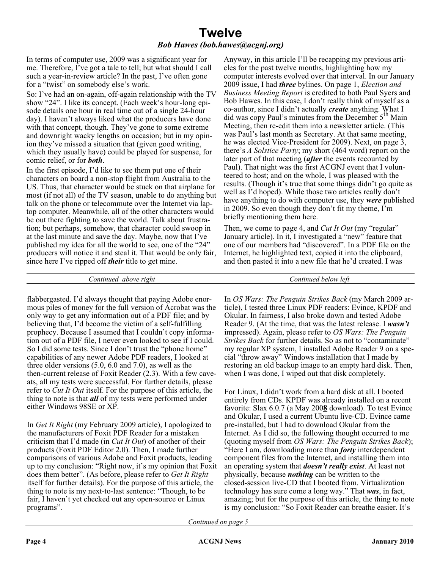#### **Twelve** *Bob Hawes (bob.hawes@acgnj.org)*

In terms of computer use, 2009 was a significant year for me. Therefore, I've got a tale to tell; but what should I call such a year-in-review article? In the past, I've often gone for a "twist" on somebody else's work.

So: I've had an on-again, off-again relationship with the TV show "24". I like its concept. (Each week's hour-long episode details one hour in real time out of a single 24-hour day). I haven't always liked what the producers have done with that concept, though. They've gone to some extreme and downright wacky lengths on occasion; but in my opinion they've missed a situation that (given good writing, which they usually have) could be played for suspense, for comic relief, or for *both*.

In the first episode, I'd like to see them put one of their characters on board a non-stop flight from Australia to the US. Thus, that character would be stuck on that airplane for most (if not all) of the TV season, unable to do anything but talk on the phone or telecommute over the Internet via laptop computer. Meanwhile, all of the other characters would be out there fighting to save the world. Talk about frustration; but perhaps, somehow, that character could swoop in at the last minute and save the day. Maybe, now that I've published my idea for all the world to see, one of the "24" producers will notice it and steal it. That would be only fair, since here I've ripped off *their* title to get mine.

Anyway, in this article I'll be recapping my previous articles for the past twelve months, highlighting how my computer interests evolved over that interval. In our January 2009 issue, I had *three* bylines. On page 1, *Election and Business Meeting Report* is credited to both Paul Syers and Bob Hawes. In this case, I don't really think of myself as a co-author, since I didn't actually *create* anything. What I did was copy Paul's minutes from the December 5<sup>th</sup> Main Meeting, then re-edit them into a newsletter article. (This was Paul's last month as Secretary. At that same meeting, he was elected Vice-President for 2009). Next, on page 3, there's *A Solstice Party*; my short (464 word) report on the later part of that meeting (*after* the events recounted by Paul). That night was the first ACGNJ event that I volunteered to host; and on the whole, I was pleased with the results. (Though it's true that some things didn't go quite as well as I'd hoped). While those two articles really don't have anything to do with computer use, they *were* published in 2009. So even though they don't fit my theme, I'm briefly mentioning them here.

Then, we come to page 4, and *Cut It Out* (my "regular" January article). In it, I investigated a "new" feature that one of our members had "discovered". In a PDF file on the Internet, he highlighted text, copied it into the clipboard, and then pasted it into a new file that he'd created. I was

*Continued above right Continued below left*

flabbergasted. I'd always thought that paying Adobe enormous piles of money for the full version of Acrobat was the only way to get any information out of a PDF file; and by believing that, I'd become the victim of a self-fulfilling prophecy. Because I assumed that I couldn't copy information out of a PDF file, I never even looked to see if I could. So I did some tests. Since I don't trust the "phone home" capabilities of any newer Adobe PDF readers, I looked at three older versions (5.0, 6.0 and 7.0), as well as the then-current release of Foxit Reader (2.3). With a few caveats, all my tests were successful. For further details, please refer to *Cut It Out* itself. For the purpose of this article, the thing to note is that *all* of my tests were performed under either Windows 98SE or XP.

In *Get It Right* (my February 2009 article), I apologized to the manufacturers of Foxit PDF Reader for a mistaken criticism that I'd made (in *Cut It Out*) of another of their products (Foxit PDF Editor 2.0). Then, I made further comparisons of various Adobe and Foxit products, leading up to my conclusion: "Right now, it's my opinion that Foxit does them better". (As before, please refer to *Get It Right* itself for further details). For the purpose of this article, the thing to note is my next-to-last sentence: "Though, to be fair, I haven't yet checked out any open-source or Linux programs".

In *OS Wars: The Penguin Strikes Back* (my March 2009 article), I tested three Linux PDF readers: Evince, KPDF and Okular. In fairness, I also broke down and tested Adobe Reader 9. (At the time, that was the latest release. I *wasn't* impressed). Again, please refer to *OS Wars: The Penguin Strikes Back* for further details. So as not to "contaminate" my regular XP system, I installed Adobe Reader 9 on a special "throw away" Windows installation that I made by restoring an old backup image to an empty hard disk. Then, when I was done, I wiped out that disk completely.

For Linux, I didn't work from a hard disk at all. I booted entirely from CDs. KPDF was already installed on a recent favorite: Slax 6.0.7 (a May 200**8** download). To test Evince and Okular, I used a current Ubuntu live-CD. Evince came pre-installed, but I had to download Okular from the Internet. As I did so, the following thought occurred to me (quoting myself from *OS Wars: The Penguin Strikes Back*); "Here I am, downloading more than *forty* interdependent component files from the Internet, and installing them into an operating system that *doesn't really exist*. At least not physically, because *nothing* can be written to the closed-session live-CD that I booted from. Virtualization technology has sure come a long way." That *was*, in fact, amazing; but for the purpose of this article, the thing to note is my conclusion: "So Foxit Reader can breathe easier. It's

*Continued on page 5*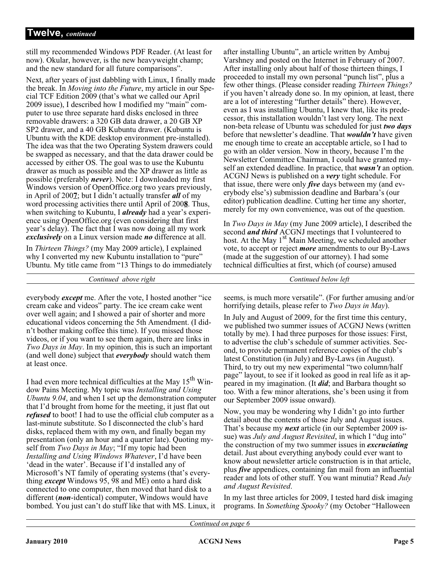still my recommended Windows PDF Reader. (At least for now). Okular, however, is the new heavyweight champ; and the new standard for all future comparisons".

Next, after years of just dabbling with Linux, I finally made the break. In *Moving into the Future*, my article in our Special TCF Edition 2009 (that's what we called our April 2009 issue), I described how I modified my "main" computer to use three separate hard disks enclosed in three removable drawers: a 320 GB data drawer, a 20 GB XP SP2 drawer, and a 40 GB Kubuntu drawer. (Kubuntu is Ubuntu with the KDE desktop environment pre-installed). The idea was that the two Operating System drawers could be swapped as necessary, and that the data drawer could be accessed by either OS. The goal was to use the Kubuntu drawer as much as possible and the XP drawer as little as possible (preferably *never*). Note: I downloaded my first Windows version of OpenOffice.org two years previously, in April of 200**7**; but I didn't actually transfer *all* of my word processing activities there until April of 200**8**. Thus, when switching to Kubuntu, I *already* had a year's experience using OpenOffice.org (even considering that first year's delay). The fact that I was now doing all my work *exclusively* on a Linux version made *no* difference at all.

In *Thirteen Things?* (my May 2009 article), I explained why I converted my new Kubuntu installation to "pure" Ubuntu. My title came from "13 Things to do immediately

*Continued above right Continued below left*

everybody *except* me. After the vote, I hosted another "ice cream cake and videos" party. The ice cream cake went over well again; and I showed a pair of shorter and more educational videos concerning the 5th Amendment. (I didn't bother making coffee this time). If you missed those videos, or if you want to see them again, there are links in *Two Days in May*. In my opinion, this is such an important (and well done) subject that *everybody* should watch them at least once.

I had even more technical difficulties at the May  $15<sup>th</sup>$  Window Pains Meeting. My topic was *Installing and Using Ubuntu 9.04*, and when I set up the demonstration computer that I'd brought from home for the meeting, it just flat out *refused* to boot! I had to use the official club computer as a last-minute substitute. So I disconnected the club's hard disks, replaced them with my own, and finally began my presentation (only an hour and a quarter late). Quoting myself from *Two Days in May*; "If my topic had been *Installing and Using Windows Whatever*, I'd have been 'dead in the water'. Because if I'd installed any of Microsoft's NT family of operating systems (that's everything *except* Windows 95, 98 and ME) onto a hard disk connected to one computer, then moved that hard disk to a different (*non*-identical) computer, Windows would have bombed. You just can't do stuff like that with MS. Linux, it

after installing Ubuntu", an article written by Ambuj Varshney and posted on the Internet in February of 2007. After installing only about half of those thirteen things, I proceeded to install my own personal "punch list", plus a few other things. (Please consider reading *Thirteen Things?* if you haven't already done so. In my opinion, at least, there are a lot of interesting "further details" there). However, even as I was installing Ubuntu, I knew that, like its predecessor, this installation wouldn't last very long. The next non-beta release of Ubuntu was scheduled for just *two days* before that newsletter's deadline. That *wouldn't* have given me enough time to create an acceptable article, so I had to go with an older version. Now in theory, because I'm the Newsletter Committee Chairman, I could have granted myself an extended deadline. In practice, that *wasn't* an option. ACGNJ News is published on a *very* tight schedule. For that issue, there were only *five* days between my (and everybody else's) submission deadline and Barbara's (our editor) publication deadline. Cutting her time any shorter, merely for my own convenience, was out of the question.

In *Two Days in May* (my June 2009 article), I described the second *and third* ACGNJ meetings that I volunteered to host. At the May  $1<sup>st</sup>$  Main Meeting, we scheduled another vote, to accept or reject *more* amendments to our By-Laws (made at the suggestion of our attorney). I had some technical difficulties at first, which (of course) amused

seems, is much more versatile". (For further amusing and/or horrifying details, please refer to *Two Days in May*).

In July and August of 2009, for the first time this century, we published two summer issues of ACGNJ News (written totally by me). I had three purposes for those issues: First, to advertise the club's schedule of summer activities. Second, to provide permanent reference copies of the club's latest Constitution (in July) and By-Laws (in August). Third, to try out my new experimental "two column/half page" layout, to see if it looked as good in real life as it appeared in my imagination. (It *did*; and Barbara thought so too. With a few minor alterations, she's been using it from our September 2009 issue onward).

Now, you may be wondering why I didn't go into further detail about the contents of those July and August issues. That's because my *next* article (in our September 2009 issue) was *July and August Revisited*, in which I "dug into" the construction of my two summer issues in *excruciating* detail. Just about everything anybody could ever want to know about newsletter article construction is in that article, plus *five* appendices, containing fan mail from an influential reader and lots of other stuff. You want minutia? Read *July and August Revisited*.

In my last three articles for 2009, I tested hard disk imaging programs. In *Something Spooky?* (my October "Halloween

*Continued on page 6*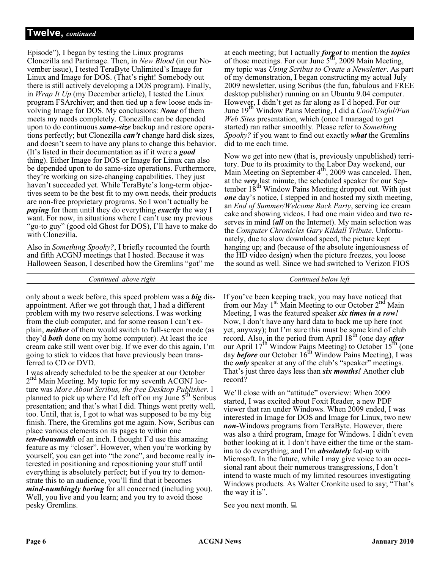Episode"), I began by testing the Linux programs Clonezilla and Partimage. Then, in *New Blood* (in our November issue), I tested TeraByte Unlimited's Image for Linux and Image for DOS. (That's right! Somebody out there is still actively developing a DOS program). Finally, in *Wrap It Up* (my December article), I tested the Linux program FSArchiver; and then tied up a few loose ends involving Image for DOS. My conclusions: *None* of them meets my needs completely. Clonezilla can be depended upon to do continuous *same-size* backup and restore operations perfectly; but Clonezilla *can't* change hard disk sizes, and doesn't seem to have any plans to change this behavior. (It's listed in their documentation as if it were a *good* thing). Either Image for DOS or Image for Linux can also be depended upon to do same-size operations. Furthermore, they're working on size-changing capabilities. They just haven't succeeded yet. While TeraByte's long-term objectives seem to be the best fit to my own needs, their products are non-free proprietary programs. So I won't actually be *paying* for them until they do everything *exactly* the way I want. For now, in situations where I can't use my previous "go-to guy" (good old Ghost for DOS), I'll have to make do with Clonezilla.

Also in *Something Spooky?*, I briefly recounted the fourth and fifth ACGNJ meetings that I hosted. Because it was Halloween Season, I described how the Gremlins "got" me

at each meeting; but I actually *forgot* to mention the *topics* of those meetings. For our June  $5<sup>th</sup>$ , 2009 Main Meeting, my topic was *Using Scribus to Create a Newsletter*. As part of my demonstration, I began constructing my actual July 2009 newsletter, using Scribus (the fun, fabulous and FREE desktop publisher) running on an Ubuntu 9.04 computer. However, I didn't get as far along as I'd hoped. For our<br>June 19<sup>th</sup> Window Pains Meeting, I did a *Cool/Useful/Fun Web Sites* presentation, which (once I managed to get started) ran rather smoothly. Please refer to *Something Spooky?* if you want to find out exactly *what* the Gremlins did to me each time.

Now we get into new (that is, previously unpublished) territory. Due to its proximity to the Labor Day weekend, our<br>Main Meeting on September 4<sup>th</sup>, 2009 was canceled. Then, at the *very* last minute, the scheduled speaker for our September  $18<sup>th</sup>$  Window Pains Meeting dropped out. With just *one* day's notice, I stepped in and hosted my sixth meeting, an *End of Summer/Welcome Back Party*, serving ice cream cake and showing videos. I had one main video and two reserves in mind (*all* on the Internet). My main selection was the *Computer Chronicles Gary Kildall Tribute*. Unfortunately, due to slow download speed, the picture kept hanging up; and (because of the absolute ingeniousness of the HD video design) when the picture freezes, you loose the sound as well. Since we had switched to Verizon FIOS

*Continued above right Continued below left*

only about a week before, this speed problem was a *big* disappointment. After we got through that, I had a different problem with my two reserve selections. I was working from the club computer, and for some reason I can't explain, *neither* of them would switch to full-screen mode (as they'd *both* done on my home computer). At least the ice cream cake still went over big. If we ever do this again, I'm going to stick to videos that have previously been transferred to CD or DVD.

I was already scheduled to be the speaker at our October  $2<sup>nd</sup>$  Main Meeting. My topic for my seventh ACGNJ lecture was *More About Scribus, the free Desktop Publisher*. I planned to pick up where I'd left off on my June  $5<sup>th</sup>$  Scribus presentation; and that's what I did. Things went pretty well, too. Until, that is, I got to what was supposed to be my big finish. There, the Gremlins got me again. Now, Scribus can place various elements on its pages to within one *ten-thousandth* of an inch. I thought I'd use this amazing feature as my "closer". However, when you're working by yourself, you can get into "the zone", and become really interested in positioning and repositioning your stuff until everything is absolutely perfect; but if you try to demonstrate this to an audience, you'll find that it becomes *mind-numbingly boring* for all concerned (including you). Well, you live and you learn; and you try to avoid those pesky Gremlins.

If you've been keeping track, you may have noticed that from our May  $1<sup>st</sup>$  Main Meeting to our October  $2<sup>nd</sup>$  Main Meeting, I was the featured speaker *six times in a row!* Now, I don't have any hard data to back me up here (not yet, anyway); but I'm sure this must be some kind of club record. Also, in the period from April 18th (one day *after* our April  $17^{th}$  Window Pains Meeting) to October  $15^{th}$  (one day *before* our October 16<sup>th</sup> Window Pains Meeting), I was the *only* speaker at any of the club's "speaker" meetings. That's just three days less than *six months!* Another club record?

We'll close with an "attitude" overview: When 2009 started, I was excited about Foxit Reader, a new PDF viewer that ran under Windows. When 2009 ended, I was interested in Image for DOS and Image for Linux, two new *non*-Windows programs from TeraByte. However, there was also a third program, Image for Windows. I didn't even bother looking at it. I don't have either the time or the stamina to do everything; and I'm *absolutely* fed-up with Microsoft. In the future, while I may give voice to an occasional rant about their numerous transgressions, I don't intend to waste much of my limited resources investigating Windows products. As Walter Cronkite used to say; "That's the way it is".

See you next month.  $\Box$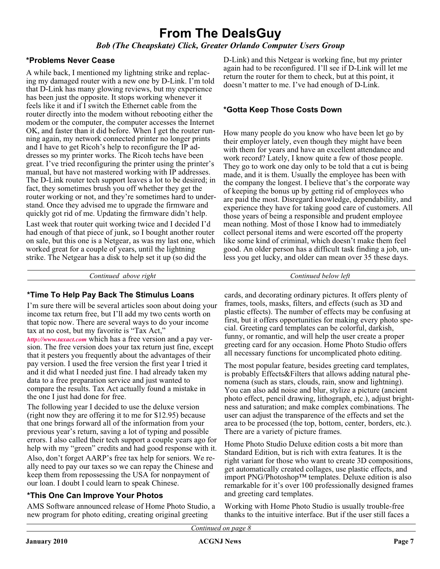### **From The DealsGuy**

*Bob (The Cheapskate) Click, Greater Orlando Computer Users Group*

#### **\*Problems Never Cease**

A while back, I mentioned my lightning strike and replacing my damaged router with a new one by D-Link. I'm told that D-Link has many glowing reviews, but my experience has been just the opposite. It stops working whenever it feels like it and if I switch the Ethernet cable from the router directly into the modem without rebooting either the modem or the computer, the computer accesses the Internet OK, and faster than it did before. When I get the router running again, my network connected printer no longer prints and I have to get Ricoh's help to reconfigure the IP addresses so my printer works. The Ricoh techs have been great. I've tried reconfiguring the printer using the printer's manual, but have not mastered working with IP addresses. The D-Link router tech support leaves a lot to be desired; in fact, they sometimes brush you off whether they get the router working or not, and they're sometimes hard to understand. Once they advised me to upgrade the firmware and quickly got rid of me. Updating the firmware didn't help.

Last week that router quit working twice and I decided I'd had enough of that piece of junk, so I bought another router on sale, but this one is a Netgear, as was my last one, which worked great for a couple of years, until the lightning strike. The Netgear has a disk to help set it up (so did the

D-Link) and this Netgear is working fine, but my printer again had to be reconfigured. I'll see if D-Link will let me return the router for them to check, but at this point, it doesn't matter to me. I've had enough of D-Link.

#### **\*Gotta Keep Those Costs Down**

How many people do you know who have been let go by their employer lately, even though they might have been with them for years and have an excellent attendance and work record? Lately, I know quite a few of those people. They go to work one day only to be told that a cut is being made, and it is them. Usually the employee has been with the company the longest. I believe that's the corporate way of keeping the bonus up by getting rid of employees who are paid the most. Disregard knowledge, dependability, and experience they have for taking good care of customers. All those years of being a responsible and prudent employee mean nothing. Most of those I know had to immediately collect personal items and were escorted off the property like some kind of criminal, which doesn't make them feel good. An older person has a difficult task finding a job, unless you get lucky, and older can mean over 35 these days.

*Continued above right Continued below left*

#### **\*Time To Help Pay Back The Stimulus Loans**

I'm sure there will be several articles soon about doing your income tax return free, but I'll add my two cents worth on that topic now. There are several ways to do your income tax at no cost, but my favorite is "Tax Act," *<http://www.taxact.com>* which has a free version and a pay ver-

sion. The free version does your tax return just fine, except that it pesters you frequently about the advantages of their pay version. I used the free version the first year I tried it and it did what I needed just fine. I had already taken my data to a free preparation service and just wanted to compare the results. Tax Act actually found a mistake in the one I just had done for free.

The following year I decided to use the deluxe version (right now they are offering it to me for \$12.95) because that one brings forward all of the information from your previous year's return, saving a lot of typing and possible errors. I also called their tech support a couple years ago for help with my "green" credits and had good response with it. Also, don't forget AARP's free tax help for seniors. We really need to pay our taxes so we can repay the Chinese and keep them from repossessing the USA for nonpayment of our loan. I doubt I could learn to speak Chinese.

#### **\*This One Can Improve Your Photos**

AMS Software announced release of Home Photo Studio, a new program for photo editing, creating original greeting

cards, and decorating ordinary pictures. It offers plenty of frames, tools, masks, filters, and effects (such as 3D and plastic effects). The number of effects may be confusing at first, but it offers opportunities for making every photo special. Greeting card templates can be colorful, darkish, funny, or romantic, and will help the user create a proper greeting card for any occasion. Home Photo Studio offers all necessary functions for uncomplicated photo editing.

The most popular feature, besides greeting card templates, is probably Effects&Filters that allows adding natural phenomena (such as stars, clouds, rain, snow and lightning). You can also add noise and blur, stylize a picture (ancient photo effect, pencil drawing, lithograph, etc.), adjust brightness and saturation; and make complex combinations. The user can adjust the transparence of the effects and set the area to be processed (the top, bottom, center, borders, etc.). There are a variety of picture frames.

Home Photo Studio Deluxe edition costs a bit more than Standard Edition, but is rich with extra features. It is the right variant for those who want to create 3D compositions, get automatically created collages, use plastic effects, and import PNG/Photoshop™ templates. Deluxe edition is also remarkable for it's over 100 professionally designed frames and greeting card templates.

Working with Home Photo Studio is usually trouble-free thanks to the intuitive interface. But if the user still faces a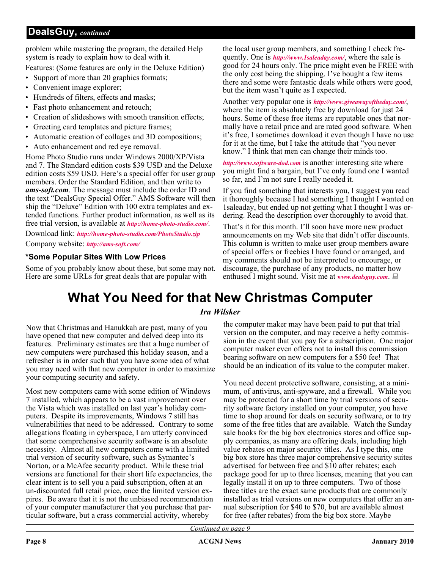#### **DealsGuy,** *continued*

problem while mastering the program, the detailed Help system is ready to explain how to deal with it.

Features: (Some features are only in the Deluxe Edition)

- Support of more than 20 graphics formats;
- Convenient image explorer;
- Hundreds of filters, effects and masks;
- Fast photo enhancement and retouch;
- Creation of slideshows with smooth transition effects;
- Greeting card templates and picture frames;
- Automatic creation of collages and 3D compositions;
- Auto enhancement and red eye removal.

Home Photo Studio runs under Windows 2000/XP/Vista and 7. The Standard edition costs \$39 USD and the Deluxe edition costs \$59 USD. Here's a special offer for user group members. Order the Standard Edition, and then write to *ams-soft.com*. The message must include the order ID and the text "DealsGuy Special Offer." AMS Software will then ship the "Deluxe" Edition with 100 extra templates and extended functions. Further product information, as well as its free trial version, is available at *<http://home-photo-studio.com/>*.

Download link: *<http://home-photo-studio.com/PhotoStudio.zip>*

Company website: *<http://ams-soft.com/>*

#### **\*Some Popular Sites With Low Prices**

Some of you probably know about these, but some may not. Here are some URLs for great deals that are popular with

the local user group members, and something I check frequently. One is *<http://www.1saleaday.com/>*, where the sale is good for 24 hours only. The price might even be FREE with the only cost being the shipping. I've bought a few items there and some were fantastic deals while others were good, but the item wasn't quite as I expected.

Another very popular one is *<http://www.giveawayoftheday.com/>*, where the item is absolutely free by download for just 24 hours. Some of these free items are reputable ones that normally have a retail price and are rated good software. When it's free, I sometimes download it even though I have no use for it at the time, but I take the attitude that "you never know." I think that men can change their minds too.

*<http://www.software-dod.com>* is another interesting site where you might find a bargain, but I've only found one I wanted so far, and I'm not sure I really needed it.

If you find something that interests you, I suggest you read it thoroughly because I had something I thought I wanted on 1saleaday, but ended up not getting what I thought I was ordering. Read the description over thoroughly to avoid that.

That's it for this month. I'll soon have more new product announcements on my Web site that didn't offer discounts. This column is written to make user group members aware of special offers or freebies I have found or arranged, and my comments should not be interpreted to encourage, or discourage, the purchase of any products, no matter how enthused I might sound. Visit me at *[www.dealsguy.com](http://www.dealsguy.com)*.

### **What You Need for that New Christmas Computer**

#### *Ira Wilsker*

Now that Christmas and Hanukkah are past, many of you have opened that new computer and delved deep into its features. Preliminary estimates are that a huge number of new computers were purchased this holiday season, and a refresher is in order such that you have some idea of what you may need with that new computer in order to maximize your computing security and safety.

Most new computers came with some edition of Windows 7 installed, which appears to be a vast improvement over the Vista which was installed on last year's holiday computers. Despite its improvements, Windows 7 still has vulnerabilities that need to be addressed. Contrary to some allegations floating in cyberspace, I am utterly convinced that some comprehensive security software is an absolute necessity. Almost all new computers come with a limited trial version of security software, such as Symantec's Norton, or a McAfee security product. While these trial versions are functional for their short life expectancies, the clear intent is to sell you a paid subscription, often at an un-discounted full retail price, once the limited version expires. Be aware that it is not the unbiased recommendation of your computer manufacturer that you purchase that particular software, but a crass commercial activity, whereby

the computer maker may have been paid to put that trial version on the computer, and may receive a hefty commission in the event that you pay for a subscription. One major computer maker even offers not to install this commission bearing software on new computers for a \$50 fee! That should be an indication of its value to the computer maker.

You need decent protective software, consisting, at a minimum, of antivirus, anti-spyware, and a firewall. While you may be protected for a short time by trial versions of security software factory installed on your computer, you have time to shop around for deals on security software, or to try some of the free titles that are available. Watch the Sunday sale books for the big box electronics stores and office supply companies, as many are offering deals, including high value rebates on major security titles. As I type this, one big box store has three major comprehensive security suites advertised for between free and \$10 after rebates; each package good for up to three licenses, meaning that you can legally install it on up to three computers. Two of those three titles are the exact same products that are commonly installed as trial versions on new computers that offer an annual subscription for \$40 to \$70, but are available almost for free (after rebates) from the big box store. Maybe

*Continued on page 9*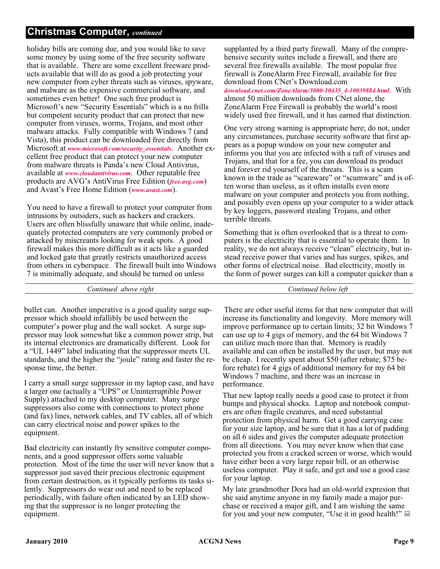#### **Christmas Computer,** *continued*

holiday bills are coming due, and you would like to save some money by using some of the free security software that is available. There are some excellent freeware products available that will do as good a job protecting your new computer from cyber threats such as viruses, spyware, and malware as the expensive commercial software, and sometimes even better! One such free product is Microsoft's new "Security Essentials" which is a no frills but competent security product that can protect that new computer from viruses, worms, Trojans, and most other malware attacks. Fully compatible with Windows 7 (and Vista), this product can be downloaded free directly from Microsoft at *[www.microsoft.com/security\\_essentials](http://www.microsoft.com/security_essentials)*. Another excellent free product that can protect your new computer from malware threats is Panda's new Cloud Antivirus, available at *[www.cloudantivirus.com](http://www.cloudantivirus.com)*. Other reputable free products are AVG's AntiVirus Free Edition (*[free.avg.com](http://)*) and Avast's Free Home Edition (*[www.avast.com](http://www.avast.com)*).

You need to have a firewall to protect your computer from intrusions by outsiders, such as hackers and crackers. Users are often blissfully unaware that while online, inadequately protected computers are very commonly probed or attacked by miscreants looking for weak spots. A good firewall makes this more difficult as it acts like a guarded and locked gate that greatly restricts unauthorized access from others in cyberspace. The firewall built into Windows 7 is minimally adequate, and should be turned on unless

supplanted by a third party firewall. Many of the comprehensive security suites include a firewall, and there are several free firewalls available. The most popular free firewall is ZoneAlarm Free Firewall, available for free download from CNet's Download.com

*[download.cnet.com/ZoneAlarm/3000-10435\\_4-10039884.html](http://download.cnet.com/ZoneAlarm/3000-10435_4-10039884.html)*. With almost 50 million downloads from CNet alone, the ZoneAlarm Free Firewall is probably the world's most widely used free firewall, and it has earned that distinction.

One very strong warning is appropriate here; do not, under any circumstances, purchase security software that first appears as a popup window on your new computer and informs you that you are infected with a raft of viruses and Trojans, and that for a fee, you can download its product and forever rid yourself of the threats. This is a scam known in the trade as "scareware" or "scumware" and is often worse than useless, as it often installs even more malware on your computer and protects you from nothing, and possibly even opens up your computer to a wider attack by key loggers, password stealing Trojans, and other terrible threats.

Something that is often overlooked that is a threat to computers is the electricity that is essential to operate them. In reality, we do not always receive "clean" electricity, but instead receive power that varies and has surges, spikes, and other forms of electrical noise. Bad electricity, mostly in the form of power surges can kill a computer quicker than a

*Continued above right Continued below left*

bullet can. Another imperative is a good quality surge suppressor which should infallibly be used between the computer's power plug and the wall socket. A surge suppressor may look somewhat like a common power strip, but its internal electronics are dramatically different. Look for a "UL 1449" label indicating that the suppressor meets UL standards, and the higher the "joule" rating and faster the response time, the better.

I carry a small surge suppressor in my laptop case, and have a larger one (actually a "UPS" or Uninterruptible Power Supply) attached to my desktop computer. Many surge suppressors also come with connections to protect phone (and fax) lines, network cables, and TV cables, all of which can carry electrical noise and power spikes to the equipment.

Bad electricity can instantly fry sensitive computer components, and a good suppressor offers some valuable protection. Most of the time the user will never know that a suppressor just saved their precious electronic equipment from certain destruction, as it typically performs its tasks silently. Suppressors do wear out and need to be replaced periodically, with failure often indicated by an LED showing that the suppressor is no longer protecting the equipment.

There are other useful items for that new computer that will increase its functionality and longevity. More memory will improve performance up to certain limits; 32 bit Windows 7 can use up to 4 gigs of memory, and the 64 bit Windows 7 can utilize much more than that. Memory is readily available and can often be installed by the user, but may not be cheap. I recently spent about \$50 (after rebate; \$75 before rebate) for 4 gigs of additional memory for my 64 bit Windows 7 machine, and there was an increase in performance.

That new laptop really needs a good case to protect it from bumps and physical shocks. Laptop and notebook computers are often fragile creatures, and need substantial protection from physical harm. Get a good carrying case for your size laptop, and be sure that it has a lot of padding on all 6 sides and gives the computer adequate protection from all directions. You may never know when that case protected you from a cracked screen or worse, which would have either been a very large repair bill, or an otherwise useless computer. Play it safe, and get and use a good case for your laptop.

My late grandmother Dora had an old-world expresion that she said anytime anyone in my family made a major purchase or received a major gift, and I am wishing the same for you and your new computer, "Use it in good health!"  $\Box$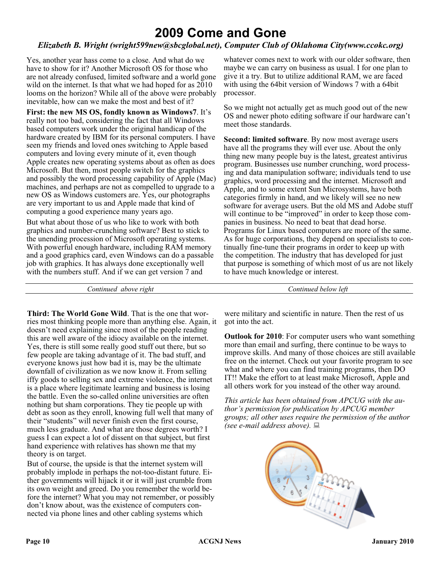### **2009 Come and Gone**

#### *Elizabeth B. Wright (wright599new@sbcglobal.net), Computer Club of Oklahoma City(www.ccokc.org)*

Yes, another year hass come to a close. And what do we have to show for it? Another Microsoft OS for those who are not already confused, limited software and a world gone wild on the internet. Is that what we had hoped for as 2010 looms on the horizon? While all of the above were probably inevitable, how can we make the most and best of it?

**First: the new MS OS, fondly known as Windows7**. It's really not too bad, considering the fact that all Windows based computers work under the original handicap of the hardware created by IBM for its personal computers. I have seen my friends and loved ones switching to Apple based computers and loving every minute of it, even though Apple creates new operating systems about as often as does Microsoft. But then, most people switch for the graphics and possibly the word processing capability of Apple (Mac) machines, and perhaps are not as compelled to upgrade to a new OS as Windows customers are. Yes, our photographs are very important to us and Apple made that kind of computing a good experience many years ago.

But what about those of us who like to work with both graphics and number-crunching software? Best to stick to the unending procession of Microsoft operating systems. With powerful enough hardware, including RAM memory and a good graphics card, even Windows can do a passable job with graphics. It has always done exceptionally well with the numbers stuff. And if we can get version 7 and

whatever comes next to work with our older software, then maybe we can carry on business as usual. I for one plan to give it a try. But to utilize additional RAM, we are faced with using the 64bit version of Windows 7 with a 64bit processor.

So we might not actually get as much good out of the new OS and newer photo editing software if our hardware can't meet those standards.

**Second: limited software**. By now most average users have all the programs they will ever use. About the only thing new many people buy is the latest, greatest antivirus program. Businesses use number crunching, word processing and data manipulation software; individuals tend to use graphics, word processing and the internet. Microsoft and Apple, and to some extent Sun Microsystems, have both categories firmly in hand, and we likely will see no new software for average users. But the old MS and Adobe stuff will continue to be "improved" in order to keep those companies in business. No need to beat that dead horse. Programs for Linux based computers are more of the same. As for huge corporations, they depend on specialists to continually fine-tune their programs in order to keep up with the competition. The industry that has developed for just that purpose is something of which most of us are not likely to have much knowledge or interest.

*Continued above right Continued below left*

**Third: The World Gone Wild**. That is the one that worries most thinking people more than anything else. Again, it doesn't need explaining since most of the people reading this are well aware of the idiocy available on the internet. Yes, there is still some really good stuff out there, but so few people are taking advantage of it. The bad stuff, and everyone knows just how bad it is, may be the ultimate downfall of civilization as we now know it. From selling iffy goods to selling sex and extreme violence, the internet is a place where legitimate learning and business is losing the battle. Even the so-called online universities are often nothing but sham corporations. They tie people up with debt as soon as they enroll, knowing full well that many of their "students" will never finish even the first course, much less graduate. And what are those degrees worth? I guess I can expect a lot of dissent on that subject, but first hand experience with relatives has shown me that my theory is on target.

But of course, the upside is that the internet system will probably implode in perhaps the not-too-distant future. Either governments will hijack it or it will just crumble from its own weight and greed. Do you remember the world before the internet? What you may not remember, or possibly don't know about, was the existence of computers connected via phone lines and other cabling systems which

were military and scientific in nature. Then the rest of us got into the act.

**Outlook for 2010**: For computer users who want something more than email and surfing, there continue to be ways to improve skills. And many of those choices are still available free on the internet. Check out your favorite program to see what and where you can find training programs, then DO IT!! Make the effort to at least make Microsoft, Apple and all others work for you instead of the other way around.

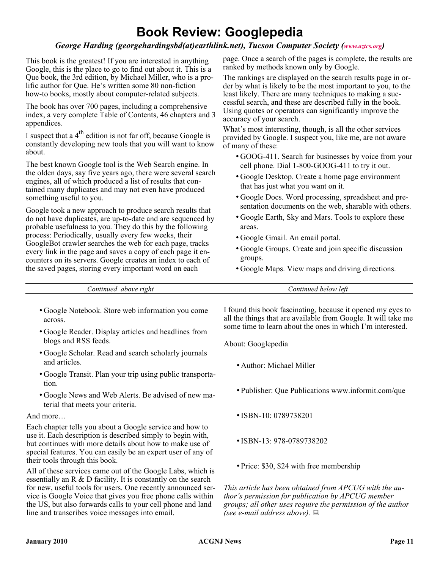### **Book Review: Googlepedia**

#### *George Harding (georgehardingsbd(at)earthlink.net), Tucson Computer Society ([www.aztcs.org](http://www.aztcs.org))*

This book is the greatest! If you are interested in anything Google, this is the place to go to find out about it. This is a Que book, the 3rd edition, by Michael Miller, who is a prolific author for Que. He's written some 80 non-fiction how-to books, mostly about computer-related subjects.

The book has over 700 pages, including a comprehensive index, a very complete Table of Contents, 46 chapters and 3 appendices.

I suspect that a  $4<sup>th</sup>$  edition is not far off, because Google is constantly developing new tools that you will want to know about.

The best known Google tool is the Web Search engine. In the olden days, say five years ago, there were several search engines, all of which produced a list of results that contained many duplicates and may not even have produced something useful to you.

Google took a new approach to produce search results that do not have duplicates, are up-to-date and are sequenced by probable usefulness to you. They do this by the following process: Periodically, usually every few weeks, their GoogleBot crawler searches the web for each page, tracks every link in the page and saves a copy of each page it encounters on its servers. Google creates an index to each of the saved pages, storing every important word on each

page. Once a search of the pages is complete, the results are ranked by methods known only by Google.

The rankings are displayed on the search results page in order by what is likely to be the most important to you, to the least likely. There are many techniques to making a successful search, and these are described fully in the book. Using quotes or operators can significantly improve the accuracy of your search.

What's most interesting, though, is all the other services provided by Google. I suspect you, like me, are not aware of many of these:

- GOOG-411. Search for businesses by voice from your cell phone. Dial 1-800-GOOG-411 to try it out.
- Google Desktop. Create a home page environment that has just what you want on it.
- Google Docs. Word processing, spreadsheet and presentation documents on the web, sharable with others.
- Google Earth, Sky and Mars. Tools to explore these areas.
- Google Gmail. An email portal.
- Google Groups. Create and join specific discussion groups.
- Google Maps. View maps and driving directions.

| rıght    | leti     |
|----------|----------|
| ontinued | below    |
| apove    | ontinued |
|          |          |

- Google Notebook. Store web information you come across.
- Google Reader. Display articles and headlines from blogs and RSS feeds.
- Google Scholar. Read and search scholarly journals and articles.
- Google Transit. Plan your trip using public transportation.
- Google News and Web Alerts. Be advised of new material that meets your criteria.

#### And more…

Each chapter tells you about a Google service and how to use it. Each description is described simply to begin with, but continues with more details about how to make use of special features. You can easily be an expert user of any of their tools through this book.

All of these services came out of the Google Labs, which is essentially an  $R \& D$  facility. It is constantly on the search for new, useful tools for users. One recently announced service is Google Voice that gives you free phone calls within the US, but also forwards calls to your cell phone and land line and transcribes voice messages into email.

I found this book fascinating, because it opened my eyes to all the things that are available from Google. It will take me some time to learn about the ones in which I'm interested.

About: Googlepedia

- Author: Michael Miller
- Publisher: Que Publications www.informit.com/que
- •ISBN-10: 0789738201
- •ISBN-13: 978-0789738202
- Price: \$30, \$24 with free membership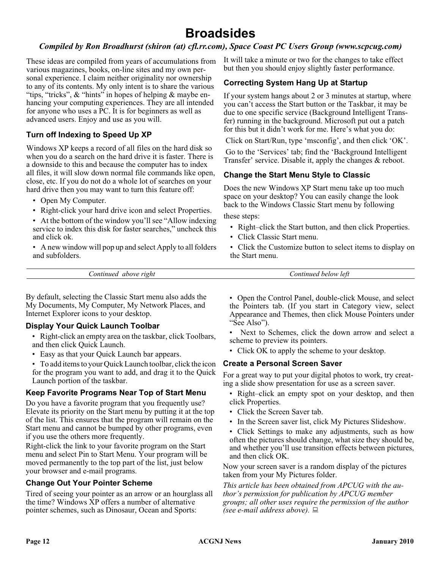### **Broadsides**

#### *Compiled by Ron Broadhurst (shiron (at) cfl.rr.com), Space Coast PC Users Group (www.scpcug.com)*

These ideas are compiled from years of accumulations from various magazines, books, on-line sites and my own personal experience. I claim neither originality nor ownership to any of its contents. My only intent is to share the various "tips, "tricks",  $\&$  "hints" in hopes of helping  $\&$  maybe enhancing your computing experiences. They are all intended for anyone who uses a PC. It is for beginners as well as advanced users. Enjoy and use as you will.

#### **Turn off Indexing to Speed Up XP**

Windows XP keeps a record of all files on the hard disk so when you do a search on the hard drive it is faster. There is a downside to this and because the computer has to index all files, it will slow down normal file commands like open, close, etc. If you do not do a whole lot of searches on your hard drive then you may want to turn this feature off:

- Open My Computer.
- Right-click your hard drive icon and select Properties.

• At the bottom of the window you'll see "Allow indexing service to index this disk for faster searches," uncheck this and click ok.

• A new window will pop up and select Apply to all folders and subfolders.

It will take a minute or two for the changes to take effect but then you should enjoy slightly faster performance.

#### **Correcting System Hang Up at Startup**

If your system hangs about 2 or 3 minutes at startup, where you can't access the Start button or the Taskbar, it may be due to one specific service (Background Intelligent Transfer) running in the background. Microsoft put out a patch for this but it didn't work for me. Here's what you do:

Click on Start/Run, type 'msconfig', and then click 'OK'.

Go to the 'Services' tab; find the 'Background Intelligent Transfer' service. Disable it, apply the changes & reboot.

#### **Change the Start Menu Style to Classic**

Does the new Windows XP Start menu take up too much space on your desktop? You can easily change the look back to the Windows Classic Start menu by following

these steps:

- Right–click the Start button, and then click Properties.
- Click Classic Start menu.
- Click the Customize button to select items to display on the Start menu.

*Continued above right Continued below left*

By default, selecting the Classic Start menu also adds the My Documents, My Computer, My Network Places, and Internet Explorer icons to your desktop.

#### **Display Your Quick Launch Toolbar**

- Right-click an empty area on the taskbar, click Toolbars, and then click Quick Launch.
- Easy as that your Quick Launch bar appears.
- To add items to your Quick Launch toolbar, click the icon for the program you want to add, and drag it to the Quick Launch portion of the taskbar.

#### **Keep Favorite Programs Near Top of Start Menu**

Do you have a favorite program that you frequently use? Elevate its priority on the Start menu by putting it at the top of the list. This ensures that the program will remain on the Start menu and cannot be bumped by other programs, even if you use the others more frequently.

Right-click the link to your favorite program on the Start menu and select Pin to Start Menu. Your program will be moved permanently to the top part of the list, just below your browser and e-mail programs.

#### **Change Out Your Pointer Scheme**

Tired of seeing your pointer as an arrow or an hourglass all the time? Windows  $\hat{X}P$  offers a number of alternative pointer schemes, such as Dinosaur, Ocean and Sports:

• Open the Control Panel, double-click Mouse, and select the Pointers tab. (If you start in Category view, select Appearance and Themes, then click Mouse Pointers under "See Also").

Next to Schemes, click the down arrow and select a scheme to preview its pointers.

• Click OK to apply the scheme to your desktop.

#### **Create a Personal Screen Saver**

For a great way to put your digital photos to work, try creating a slide show presentation for use as a screen saver.

- Right–click an empty spot on your desktop, and then click Properties.
- Click the Screen Saver tab.
- In the Screen saver list, click My Pictures Slideshow.
- Click Settings to make any adjustments, such as how often the pictures should change, what size they should be, and whether you'll use transition effects between pictures, and then click OK.

Now your screen saver is a random display of the pictures taken from your My Pictures folder.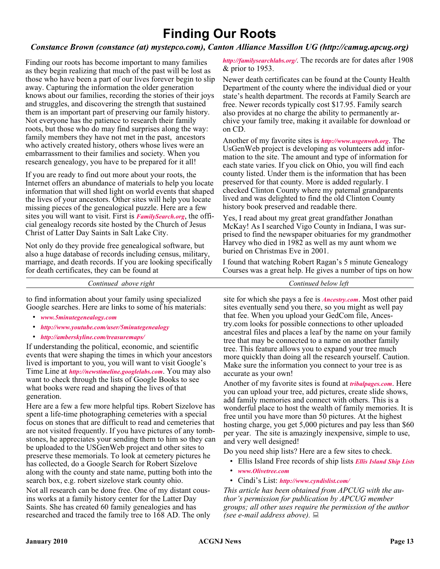### **Finding Our Roots**

#### *Constance Brown (constance (at) mystepco.com), Canton Alliance Massillon UG (http://camug.apcug.org)*

Finding our roots has become important to many families as they begin realizing that much of the past will be lost as those who have been a part of our lives forever begin to slip away. Capturing the information the older generation knows about our families, recording the stories of their joys and struggles, and discovering the strength that sustained them is an important part of preserving our family history. Not everyone has the patience to research their family roots, but those who do may find surprises along the way: family members they have not met in the past, ancestors who actively created history, others whose lives were an embarrassment to their families and society. When you research genealogy, you have to be prepared for it all!

If you are ready to find out more about your roots, the Internet offers an abundance of materials to help you locate information that will shed light on world events that shaped the lives of your ancestors. Other sites will help you locate missing pieces of the genealogical puzzle. Here are a few sites you will want to visit. First is *[FamilySearch.org](http://FamilySearch.org)*, the official genealogy records site hosted by the Church of Jesus Christ of Latter Day Saints in Salt Lake City.

Not only do they provide free genealogical software, but also a huge database of records including census, military, marriage, and death records. If you are looking specifically for death certificates, they can be found at

*<http://familysearchlabs.org/>*. The records are for dates after 1908 & prior to 1953.

Newer death certificates can be found at the County Health Department of the county where the individual died or your state's health department. The records at Family Search are free. Newer records typically cost \$17.95. Family search also provides at no charge the ability to permanently archive your family tree, making it available for download or on CD.

Another of my favorite sites is *<http://www.usgenweb.org>*. The UsGenWeb project is developing as volunteers add information to the site. The amount and type of information for each state varies. If you click on Ohio, you will find each county listed. Under them is the information that has been preserved for that county. More is added regularly. I checked Clinton County where my paternal grandparents lived and was delighted to find the old Clinton County history book preserved and readable there.

Yes, I read about my great great grandfather Jonathan McKay! As I searched Vigo County in Indiana, I was surprised to find the newspaper obituaries for my grandmother Harvey who died in 1982 as well as my aunt whom we buried on Christmas Eve in 2001.

I found that watching Robert Ragan's 5 minute Genealogy Courses was a great help. He gives a number of tips on how

*Continued above right Continued below left*

to find information about your family using specialized Google searches. Here are links to some of his materials:

- *[www.5minutegenealogy.com](http://www.5minutegenealogy.com)*
- *<http://www.youtube.com/user/5minutegenealogy>*
- *<http://amberskyline.com/treasuremaps/>*

If understanding the political, economic, and scientific events that were shaping the times in which your ancestors lived is important to you, you will want to visit Google's Time Line at *<http://newstimeline.googlelabs.com>*. You may also want to check through the lists of Google Books to see what books were read and shaping the lives of that generation.

Here are a few a few more helpful tips. Robert Sizelove has spent a life-time photographing cemeteries with a special focus on stones that are difficult to read and cemeteries that are not visited frequently. If you have pictures of any tombstones, he appreciates your sending them to him so they can be uploaded to the USGenWeb project and other sites to preserve these memorials. To look at cemetery pictures he has collected, do a Google Search for Robert Sizelove along with the county and state name, putting both into the search box, e.g. robert sizelove stark county ohio.

Not all research can be done free. One of my distant cousins works at a family history center for the Latter Day Saints. She has created 60 family genealogies and has researched and traced the family tree to 168 AD. The only

site for which she pays a fee is *[Ancestry.com](http://Ancestry.com)*. Most other paid sites eventually send you there, so you might as well pay that fee. When you upload your GedCom file, Ancestry.com looks for possible connections to other uploaded ancestral files and places a leaf by the name on your family tree that may be connected to a name on another family tree. This feature allows you to expand your tree much more quickly than doing all the research yourself. Caution. Make sure the information you connect to your tree is as accurate as your own!

Another of my favorite sites is found at *[tribalpages.com](http://tribalpages.com)*. Here you can upload your tree, add pictures, create slide shows, add family memories and connect with others. This is a wonderful place to host the wealth of family memories. It is free until you have more than 50 pictures. At the highest hosting charge, you get 5,000 pictures and pay less than \$60 per year. The site is amazingly inexpensive, simple to use, and very well designed!

Do you need ship lists? Here are a few sites to check.

- Ellis Island Free records of ship lists *[Ellis Island Ship Lists](http://www.ellisisland.org/default.asp?SID=2188&gclid=CIeyzfioipwCFQEhDQodTQ58Yg  )*
- *[www.Olivetree.com](http://www.Olivetree.com)*
- Cindi's List: *<http://www.cyndislist.com/>*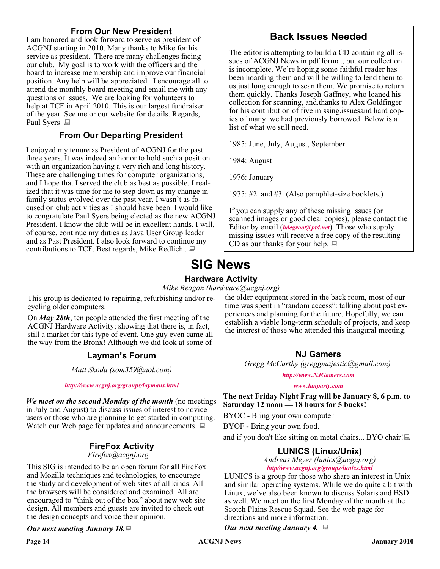#### **From Our New President**

I am honored and look forward to serve as president of ACGNJ starting in 2010. Many thanks to Mike for his service as president. There are many challenges facing our club. My goal is to work with the officers and the board to increase membership and improve our financial position. Any help will be appreciated. I encourage all to attend the monthly board meeting and email me with any questions or issues. We are looking for volunteers to help at TCF in April 2010. This is our largest fundraiser of the year. See me or our website for details. Regards, Paul Syers  $\Box$ 

#### **From Our Departing President**

I enjoyed my tenure as President of ACGNJ for the past three years. It was indeed an honor to hold such a position with an organization having a very rich and long history. These are challenging times for computer organizations, and I hope that I served the club as best as possible. I realized that it was time for me to step down as my change in family status evolved over the past year. I wasn't as focused on club activities as I should have been. I would like to congratulate Paul Syers being elected as the new ACGNJ President. I know the club will be in excellent hands. I will, of course, continue my duties as Java User Group leader and as Past President. I also look forward to continue my contributions to TCF. Best regards, Mike Redlich.  $\Box$ 

#### **Back Issues Needed**

The editor is attempting to build a CD containing all issues of ACGNJ News in pdf format, but our collection is incomplete. We're hoping some faithful reader has been hoarding them and will be willing to lend them to us just long enough to scan them. We promise to return them quickly. Thanks Joseph Gaffney, who loaned his collection for scanning, and.thanks to Alex Goldfinger for his contribution of five missing.issuesand hard copies of many we had previously borrowed. Below is a list of what we still need.

1985: June, July, August, September

1984: August

1976: January

1975: #2 and #3 (Also pamphlet-size booklets.)

If you can supply any of these missing issues (or scanned images or good clear copies), please contact the Editor by email (*[bdegroot@ptd.net](mailto:bdegroot@ptd.net)*). Those who supply missing issues will receive a free copy of the resulting CD as our thanks for your help.  $\Box$ 

### **SIG News Hardware Activity**

*Mike Reagan (hardware@acgnj.org)*

This group is dedicated to repairing, refurbishing and/or recycling older computers.

On *May 28th*, ten people attended the first meeting of the ACGNJ Hardware Activity; showing that there is, in fact, still a market for this type of event. One guy even came all the way from the Bronx! Although we did look at some of

#### **Layman's Forum**

*Matt Skoda (som359@aol.com)*

*<http://www.acgnj.org/groups/laymans.html>*

*We meet on the second Monday of the month* (no meetings in July and August) to discuss issues of interest to novice users or those who are planning to get started in computing. Watch our Web page for updates and announcements.  $\Box$ 

#### **FireFox Activity**

#### *Firefox@acgnj.org*

This SIG is intended to be an open forum for **all** FireFox and Mozilla techniques and technologies, to encourage the study and development of web sites of all kinds. All the browsers will be considered and examined. All are encouraged to "think out of the box" about new web site design. All members and guests are invited to check out the design concepts and voice their opinion.

#### *Our next meeting January 18.*

the older equipment stored in the back room, most of our time was spent in "random access": talking about past experiences and planning for the future. Hopefully, we can establish a viable long-term schedule of projects, and keep the interest of those who attended this inaugural meeting.

#### **NJ Gamers**

*Gregg McCarthy (greggmajestic@gmail.com)*

*<http://www.NJGamers.com>*

*[www.lanparty.com](http://www.lanparty.com)*

**The next Friday Night Frag will be January 8, 6 p.m. to Saturday 12 noon — 18 hours for 5 bucks!**

BYOC - Bring your own computer

BYOF - Bring your own food.

and if you don't like sitting on metal chairs... BYO chair! $\Box$ 

#### **LUNICS (Linux/Unix)**

*Andreas Meyer (lunics@acgnj.org) <http//www.acgnj.org/groups/lunics.html>*

LUNICS is a group for those who share an interest in Unix and similar operating systems. While we do quite a bit with Linux, we've also been known to discuss Solaris and BSD as well. We meet on the first Monday of the month at the Scotch Plains Rescue Squad. See the web page for directions and more information.

*Our next meeting January 4.*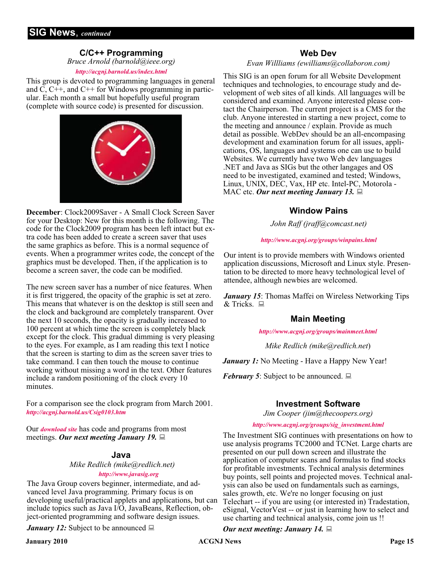#### **C/C++ Programming**

*Bruce Arnold (barnold@ieee.org)*

#### *<http://acgnj.barnold.us/index.html>*

This group is devoted to programming languages in general and C, C++, and C++ for Windows programming in particular. Each month a small but hopefully useful program (complete with source code) is presented for discussion.



**December**: Clock2009Saver - A Small Clock Screen Saver for your Desktop: New for this month is the following. The code for the Clock2009 program has been left intact but extra code has been added to create a screen saver that uses the same graphics as before. This is a normal sequence of events. When a programmer writes code, the concept of the graphics must be developed. Then, if the application is to become a screen saver, the code can be modified.

The new screen saver has a number of nice features. When it is first triggered, the opacity of the graphic is set at zero. This means that whatever is on the desktop is still seen and the clock and background are completely transparent. Over the next 10 seconds, the opacity is gradually increased to 100 percent at which time the screen is completely black except for the clock. This gradual dimming is very pleasing to the eyes. For example, as I am reading this text I notice that the screen is starting to dim as the screen saver tries to take command. I can then touch the mouse to continue working without missing a word in the text. Other features include a random positioning of the clock every 10 minutes.

For a comparison see the clock program from March 2001. *<http://acgnj.barnold.us/Csig0103.htm>*

Our *[download site](http://acgnj.barnold.us/Source/Index.htm)* has code and programs from most meetings. *Our next meeting January 19.*

#### **Java**

#### *Mike Redlich (mike@redlich.net)*

#### *<http://www.javasig.org>*

The Java Group covers beginner, intermediate, and advanced level Java programming. Primary focus is on developing useful/practical applets and applications, but can include topics such as Java I/O, JavaBeans, Reflection, object-oriented programming and software design issues.

*January 12:* Subject to be announced  $\Box$ 

#### **Web Dev**

#### *Evan Willliams (ewilliams@collaboron.com)*

This SIG is an open forum for all Website Development techniques and technologies, to encourage study and development of web sites of all kinds. All languages will be considered and examined. Anyone interested please contact the Chairperson. The current project is a CMS for the club. Anyone interested in starting a new project, come to the meeting and announce / explain. Provide as much detail as possible. WebDev should be an all-encompasing development and examination forum for all issues, applications, OS, languages and systems one can use to build Websites. We currently have two Web dev languages .NET and Java as SIGs but the other langages and OS need to be investigated, examined and tested; Windows, Linux, UNIX, DEC, Vax, HP etc. Intel-PC, Motorola - MAC etc. *Our next meeting January 13.*

#### **Window Pains**

*John Raff (jraff@comcast.net)*

#### *<http://www.acgnj.org/groups/winpains.html>*

Our intent is to provide members with Windows oriented application discussions, Microsoft and Linux style. Presentation to be directed to more heavy technological level of attendee, although newbies are welcomed.

*January 15*: Thomas Maffei on Wireless Networking Tips  $&$  Tricks  $\Box$ 

#### **Main Meeting**

*<http://www.acgnj.org/groups/mainmeet.html>*

*Mike Redlich (mike@redlich.net*)

*January 1:* No Meeting - Have a Happy New Year!

*February 5*: Subject to be announced.  $\Box$ 

#### **Investment Software**

*Jim Cooper (jim@thecoopers.org)*

#### *[http://www.acgnj.org/groups/sig\\_investment.html](http://www.acgnj.org/groups/sig_investment.html)*

The Investment SIG continues with presentations on how to use analysis programs TC2000 and TCNet. Large charts are presented on our pull down screen and illustrate the application of computer scans and formulas to find stocks for profitable investments. Technical analysis determines buy points, sell points and projected moves. Technical analysis can also be used on fundamentals such as earnings, sales growth, etc. We're no longer focusing on just Telechart -- if you are using (or interested in) Tradestation, eSignal, VectorVest -- or just in learning how to select and use charting and technical analysis, come join us !!

#### *Our next meeting: January 14.*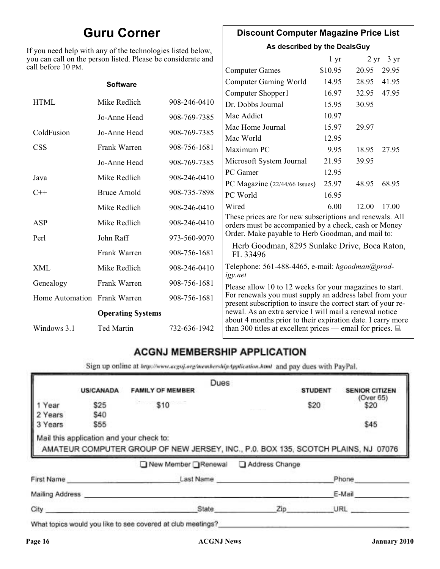### **Guru Corner**

If you need help with any of the technologies listed below, you can call on the person listed. Please be considerate and ca

#### **Discount Computer Magazine Price List**

**As described by the DealsGuy**

| ll before 10 PM.             | ou can call on the person listed. Please be considerate and |                                                                                                                        |                                                                                                                         | 1 <sub>yr</sub> |       | $2 \text{ yr}$ 3 yr |
|------------------------------|-------------------------------------------------------------|------------------------------------------------------------------------------------------------------------------------|-------------------------------------------------------------------------------------------------------------------------|-----------------|-------|---------------------|
|                              |                                                             |                                                                                                                        | <b>Computer Games</b>                                                                                                   | \$10.95         | 20.95 | 29.95               |
|                              | <b>Software</b>                                             |                                                                                                                        | <b>Computer Gaming World</b>                                                                                            | 14.95           | 28.95 | 41.95               |
|                              |                                                             |                                                                                                                        | Computer Shopper1                                                                                                       | 16.97           | 32.95 | 47.95               |
| <b>HTML</b>                  | Mike Redlich                                                | 908-246-0410                                                                                                           | Dr. Dobbs Journal                                                                                                       | 15.95           | 30.95 |                     |
|                              | Jo-Anne Head                                                | 908-769-7385                                                                                                           | Mac Addict                                                                                                              | 10.97           |       |                     |
| ColdFusion                   | Jo-Anne Head                                                | 908-769-7385                                                                                                           | Mac Home Journal                                                                                                        | 15.97           | 29.97 |                     |
|                              |                                                             |                                                                                                                        | Mac World                                                                                                               | 12.95           |       |                     |
| <b>CSS</b>                   | Frank Warren                                                | 908-756-1681                                                                                                           | Maximum PC                                                                                                              | 9.95            | 18.95 | 27.95               |
|                              | Jo-Anne Head                                                | 908-769-7385                                                                                                           | Microsoft System Journal                                                                                                | 21.95           | 39.95 |                     |
| Java                         | Mike Redlich                                                | 908-246-0410                                                                                                           | PC Gamer                                                                                                                | 12.95           |       |                     |
|                              |                                                             |                                                                                                                        | PC Magazine (22/44/66 Issues)                                                                                           | 25.97           | 48.95 | 68.95               |
| $C++$                        | <b>Bruce Arnold</b>                                         | 908-735-7898                                                                                                           | PC World                                                                                                                | 16.95           |       |                     |
|                              | Mike Redlich                                                | 908-246-0410                                                                                                           | Wired                                                                                                                   | 6.00            | 12.00 | 17.00               |
| ASP                          | Mike Redlich                                                | 908-246-0410                                                                                                           | These prices are for new subscriptions and renewals. All<br>orders must be accompanied by a check, cash or Money        |                 |       |                     |
| Perl                         | John Raff                                                   | 973-560-9070                                                                                                           | Order. Make payable to Herb Goodman, and mail to:                                                                       |                 |       |                     |
|                              | Frank Warren                                                | 908-756-1681                                                                                                           | Herb Goodman, 8295 Sunlake Drive, Boca Raton,<br>FL 33496                                                               |                 |       |                     |
| XML                          | Mike Redlich                                                | 908-246-0410                                                                                                           | Telephone: 561-488-4465, e-mail: hgoodman@prod-<br>igy.net                                                              |                 |       |                     |
| Genealogy                    | Frank Warren                                                | 908-756-1681                                                                                                           | Please allow 10 to 12 weeks for your magazines to start.                                                                |                 |       |                     |
| Home Automation Frank Warren |                                                             | 908-756-1681                                                                                                           | For renewals you must supply an address label from your<br>present subscription to insure the correct start of your re- |                 |       |                     |
| <b>Operating Systems</b>     |                                                             | newal. As an extra service I will mail a renewal notice<br>about 4 months prior to their expiration date. I carry more |                                                                                                                         |                 |       |                     |
| Windows 3.1                  | <b>Ted Martin</b>                                           | 732-636-1942                                                                                                           | than 300 titles at excellent prices — email for prices. $\Box$                                                          |                 |       |                     |

### **ACGNJ MEMBERSHIP APPLICATION**

Sign up online at http://www.acguj.org/membershipApplication.html and pay dues with PayPal.

|                 |                  |                                                                                                                               | Dues |                |                |                       |
|-----------------|------------------|-------------------------------------------------------------------------------------------------------------------------------|------|----------------|----------------|-----------------------|
|                 | <b>US/CANADA</b> | <b>FAMILY OF MEMBER</b>                                                                                                       |      |                | <b>STUDENT</b> | <b>SENIOR CITIZEN</b> |
| Year            | \$25             | \$10                                                                                                                          |      |                | \$20           | (Over 65)<br>\$20     |
| 2 Years         | \$40             |                                                                                                                               |      |                |                |                       |
| 3 Years         | \$55             |                                                                                                                               |      |                |                | \$45                  |
|                 |                  | Mail this application and your check to:<br>AMATEUR COMPUTER GROUP OF NEW JERSEY, INC., P.0. BOX 135, SCOTCH PLAINS, NJ 07076 |      |                |                |                       |
|                 |                  | ■ New Member Renewal                                                                                                          |      | Address Change |                |                       |
| First Name      |                  | Last Name                                                                                                                     |      |                |                | Phone                 |
| Mailing Address |                  |                                                                                                                               |      |                |                | E-Mail                |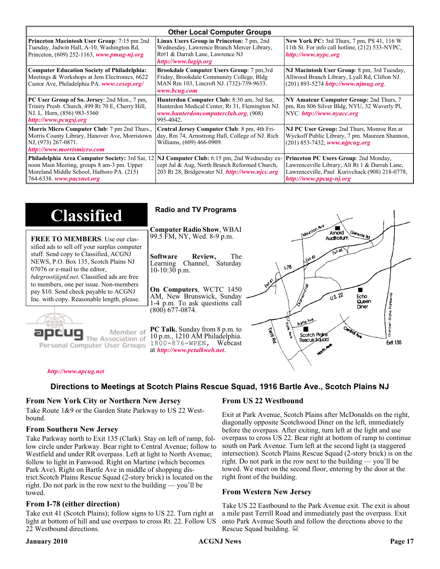| <b>Other Local Computer Groups</b>                                                                                                                                             |                                                                                                                                                           |                                                                                                                                                                      |  |
|--------------------------------------------------------------------------------------------------------------------------------------------------------------------------------|-----------------------------------------------------------------------------------------------------------------------------------------------------------|----------------------------------------------------------------------------------------------------------------------------------------------------------------------|--|
| <b>Princeton Macintosh User Group:</b> 7:15 pm 2nd<br>Tuesday, Jadwin Hall, A-10, Washington Rd,<br>Princeton, $(609)$ 252-1163, www.pmug-nj.org                               | Linux Users Group in Princeton: 7 pm, 2nd<br>Wednesday, Lawrence Branch Mercer Library,<br>Rt#1 & Darrah Lane, Lawrence NJ<br>http://www.lugip.org        | <b>New York PC:</b> 3rd Thurs, 7 pm, PS 41, 116 W<br>11th St. For info call hotline, (212) 533-NYPC,<br>http://www.nypc.org                                          |  |
| <b>Computer Education Society of Philadelphia:</b><br>Meetings & Workshops at Jem Electronics, 6622<br>Castor Ave, Philadelphia PA. www.cesop.org/                             | <b>Brookdale Computer Users Group:</b> 7 pm, 3rd<br>Friday, Brookdale Community College, Bldg<br>MAN Rm 103, Lincroft NJ. (732)-739-9633.<br>www.bcug.com | NJ Macintosh User Group: 8 pm, 3rd Tuesday,<br>Allwood Branch Library, Lyall Rd, Clifton NJ.<br>$(201) 893 - 5274$ http://www.njmug.org.                             |  |
| PC User Group of So. Jersey: 2nd Mon., 7 pm,<br>Trinity Presb. Church, 499 Rt 70 E, Cherry Hill,<br>NJ. L. Horn, (856) 983-5360<br>http://www.pcugsj.org                       | Hunterdon Computer Club: 8:30 am, 3rd Sat,<br>Hunterdon Medical Center, Rt 31, Flemington NJ.<br>www.hunterdoncomputerclub.org. (908)<br>995-4042.        | NY Amateur Computer Group: 2nd Thurs, 7<br>pm, Rm 806 Silver Bldg, NYU, 32 Waverly Pl,<br>NYC http://www.nyacc.org                                                   |  |
| Morris Micro Computer Club: 7 pm 2nd Thurs.,<br>Morris County Library, Hanover Ave, Morristown<br>NJ, (973) 267-0871.<br>http://www.morrismicro.com                            | Central Jersey Computer Club: 8 pm, 4th Fri-<br>day, Rm 74, Armstrong Hall, College of NJ. Rich<br>Williams, (609) 466-0909.                              | NJ PC User Group: 2nd Thurs, Monroe Rm at<br>Wyckoff Public Library, 7 pm. Maureen Shannon,<br>$(201)$ 853-7432, www.njpcug.org                                      |  |
| <b>Philadelphia Area Computer Society: 3rd Sat, 12</b><br>noon Main Meeting, groups 8 am-3 pm. Upper<br>Moreland Middle School, Hatboro PA. (215)<br>764-6338. www.pacsnet.org | NJ Computer Club: 6:15 pm, 2nd Wednesday ex-<br>cept Jul & Aug, North Branch Reformed Church,<br>203 Rt 28, Bridgewater NJ <i>http://www.njcc.org</i>     | Princeton PC Users Group: 2nd Monday,<br>Lawrenceville Library, Alt Rt 1 & Darrah Lane,<br>Lawrenceville, Paul Kurivchack (908) 218-0778,<br>http://www.ppcug-nj.org |  |

| <b>Classified</b>                                                                                                                                                                                                                                                                                                                                                                             | <b>Radio and TV Programs</b>                                                                                                                                                                                                                                                                                                                                           |
|-----------------------------------------------------------------------------------------------------------------------------------------------------------------------------------------------------------------------------------------------------------------------------------------------------------------------------------------------------------------------------------------------|------------------------------------------------------------------------------------------------------------------------------------------------------------------------------------------------------------------------------------------------------------------------------------------------------------------------------------------------------------------------|
| <b>FREE TO MEMBERS.</b> Use our clas-<br>sified ads to sell off your surplus computer<br>stuff. Send copy to Classified, ACGNJ<br>NEWS, P.O. Box 135, Scotch Plains NJ<br>07076 or e-mail to the editor,<br><i>bdegroot@ptd.net.</i> Classified ads are free<br>to members, one per issue. Non-members<br>pay \$10. Send check payable to ACGNJ<br>Inc. with copy. Reasonable length, please. | IMOUNTON AVE<br><b>Computer Radio Show, WBAI</b><br>Amold<br>Slenside Rd<br>99.5 FM, NY, Wed. 8-9 p.m.<br>Auditorium<br>The<br><b>Software</b><br>Review,<br>L Exit A3<br>Channel, Saturday<br>Learning<br>$\sqrt{3}$<br>$10-10:30$ p.m.<br>On Computers, WCTC 1450<br>0.5.22<br>AM, New Brunswick, Sunday<br>Echo<br>Queen<br>1-4 p.m. To ask questions call<br>Diner |
| Member of<br>ociation of<br>Personal Computer User Groups                                                                                                                                                                                                                                                                                                                                     | $(800)$ 677-0874.<br>ភ្នំ<br>ភ្ន<br>Borle Ave<br>É<br><b>Cantrol Ave</b><br>PC Talk, Sunday from 8 p.m. to<br><b>Termited</b><br>Scotch Plains<br>10 p.m., 1210 AM Philadelphia.<br>Rescue Sound<br><b>Ext 135</b><br>1800-876-WPEN, Webcast<br>at http://www.pctalkweb.net.<br>$\mathbf{v}^{\mathbf{c}^{\prime}}$                                                     |

#### *<http://www.apcug.net>*

#### **Directions to Meetings at Scotch Plains Rescue Squad, 1916 Bartle Ave., Scotch Plains NJ**

#### **From New York City or Northern New Jersey**

Take Route 1&9 or the Garden State Parkway to US 22 Westbound.

#### **From Southern New Jersey**

Take Parkway north to Exit 135 (Clark). Stay on left of ramp, follow circle under Parkway. Bear right to Central Avenue; follow to Westfield and under RR overpass. Left at light to North Avenue; follow to light in Fanwood. Right on Martine (which becomes Park Ave). Right on Bartle Ave in middle of shopping district.Scotch Plains Rescue Squad (2-story brick) is located on the right. Do not park in the row next to the building — you'll be towed.

#### **From I-78 (either direction)**

Take exit 41 (Scotch Plains); follow signs to US 22. Turn right at light at bottom of hill and use overpass to cross Rt. 22. Follow US 22 Westbound directions.

#### **From US 22 Westbound**

Exit at Park Avenue, Scotch Plains after McDonalds on the right, diagonally opposite Scotchwood Diner on the left, immediately before the overpass. After exiting, turn left at the light and use overpass to cross US 22. Bear right at bottom of ramp to continue south on Park Avenue. Turn left at the second light (a staggered intersection). Scotch Plains Rescue Squad (2-story brick) is on the right. Do not park in the row next to the building — you'll be towed. We meet on the second floor, entering by the door at the right front of the building.

#### **From Western New Jersey**

Take US 22 Eastbound to the Park Avenue exit. The exit is about a mile past Terrill Road and immediately past the overpass. Exit onto Park Avenue South and follow the directions above to the Rescue Squad building.